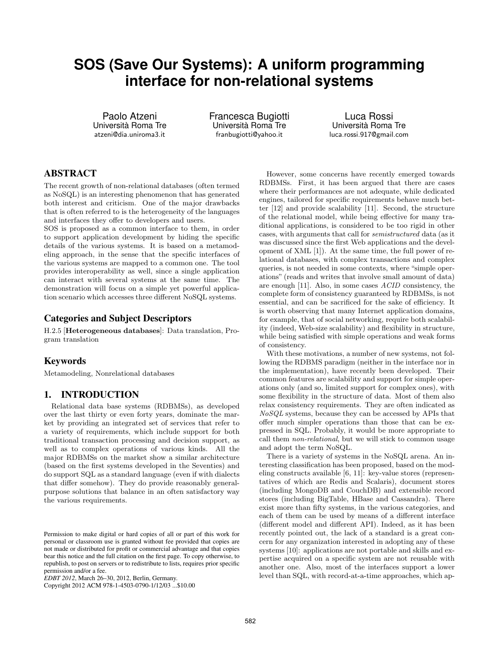# **SOS (Save Our Systems): A uniform programming interface for non-relational systems**

Paolo Atzeni Università Roma Tre atzeni@dia.uniroma3.it

Francesca Bugiotti Università Roma Tre franbugiotti@yahoo.it

Luca Rossi Università Roma Tre luca.rossi.917@gmail.com

## ABSTRACT

The recent growth of non-relational databases (often termed as NoSQL) is an interesting phenomenon that has generated both interest and criticism. One of the major drawbacks that is often referred to is the heterogeneity of the languages and interfaces they offer to developers and users.

SOS is proposed as a common interface to them, in order to support application development by hiding the specific details of the various systems. It is based on a metamodeling approach, in the sense that the specific interfaces of the various systems are mapped to a common one. The tool provides interoperability as well, since a single application can interact with several systems at the same time. The demonstration will focus on a simple yet powerful application scenario which accesses three different NoSQL systems.

#### Categories and Subject Descriptors

H.2.5 [Heterogeneous databases]: Data translation, Program translation

### Keywords

Metamodeling, Nonrelational databases

## 1. INTRODUCTION

Relational data base systems (RDBMSs), as developed over the last thirty or even forty years, dominate the market by providing an integrated set of services that refer to a variety of requirements, which include support for both traditional transaction processing and decision support, as well as to complex operations of various kinds. All the major RDBMSs on the market show a similar architecture (based on the first systems developed in the Seventies) and do support SQL as a standard language (even if with dialects that differ somehow). They do provide reasonably generalpurpose solutions that balance in an often satisfactory way the various requirements.

Copyright 2012 ACM 978-1-4503-0790-1/12/03 ...\$10.00

However, some concerns have recently emerged towards RDBMSs. First, it has been argued that there are cases where their performances are not adequate, while dedicated engines, tailored for specific requirements behave much better [12] and provide scalability [11]. Second, the structure of the relational model, while being effective for many traditional applications, is considered to be too rigid in other cases, with arguments that call for semistructured data (as it was discussed since the first Web applications and the development of XML [1]). At the same time, the full power of relational databases, with complex transactions and complex queries, is not needed in some contexts, where "simple operations" (reads and writes that involve small amount of data) are enough [11]. Also, in some cases ACID consistency, the complete form of consistency guaranteed by RDBMSs, is not essential, and can be sacrificed for the sake of efficiency. It is worth observing that many Internet application domains, for example, that of social networking, require both scalability (indeed, Web-size scalability) and flexibility in structure, while being satisfied with simple operations and weak forms of consistency.

With these motivations, a number of new systems, not following the RDBMS paradigm (neither in the interface nor in the implementation), have recently been developed. Their common features are scalability and support for simple operations only (and so, limited support for complex ones), with some flexibility in the structure of data. Most of them also relax consistency requirements. They are often indicated as NoSQL systems, because they can be accessed by APIs that offer much simpler operations than those that can be expressed in SQL. Probably, it would be more appropriate to call them non-relational, but we will stick to common usage and adopt the term NoSQL.

There is a variety of systems in the NoSQL arena. An interesting classification has been proposed, based on the modeling constructs available [6, 11]: key-value stores (representatives of which are Redis and Scalaris), document stores (including MongoDB and CouchDB) and extensible record stores (including BigTable, HBase and Cassandra). There exist more than fifty systems, in the various categories, and each of them can be used by means of a different interface (different model and different API). Indeed, as it has been recently pointed out, the lack of a standard is a great concern for any organization interested in adopting any of these systems [10]: applications are not portable and skills and expertise acquired on a specific system are not reusable with another one. Also, most of the interfaces support a lower level than SQL, with record-at-a-time approaches, which ap-

Permission to make digital or hard copies of all or part of this work for personal or classroom use is granted without fee provided that copies are not made or distributed for profit or commercial advantage and that copies bear this notice and the full citation on the first page. To copy otherwise, to republish, to post on servers or to redistribute to lists, requires prior specific permission and/or a fee.

*EDBT 2012*, March 26–30, 2012, Berlin, Germany.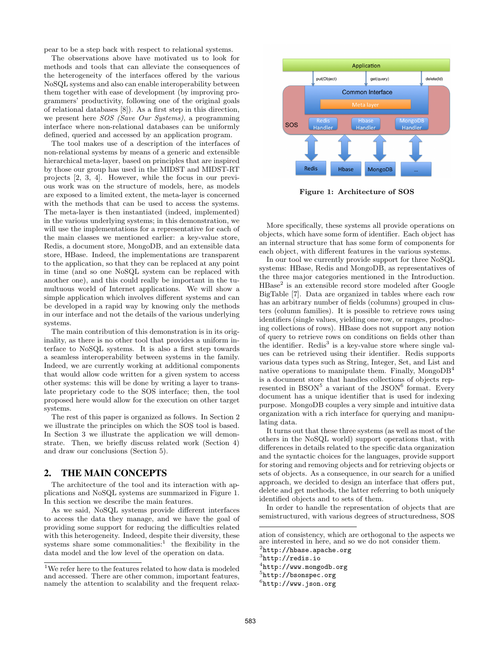pear to be a step back with respect to relational systems.

The observations above have motivated us to look for methods and tools that can alleviate the consequences of the heterogeneity of the interfaces offered by the various NoSQL systems and also can enable interoperability between them together with ease of development (by improving programmers' productivity, following one of the original goals of relational databases [8]). As a first step in this direction, we present here SOS (Save Our Systems), a programming interface where non-relational databases can be uniformly defined, queried and accessed by an application program.

The tool makes use of a description of the interfaces of non-relational systems by means of a generic and extensible hierarchical meta-layer, based on principles that are inspired by those our group has used in the MIDST and MIDST-RT projects [2, 3, 4]. However, while the focus in our previous work was on the structure of models, here, as models are exposed to a limited extent, the meta-layer is concerned with the methods that can be used to access the systems. The meta-layer is then instantiated (indeed, implemented) in the various underlying systems; in this demonstration, we will use the implementations for a representative for each of the main classes we mentioned earlier: a key-value store, Redis, a document store, MongoDB, and an extensible data store, HBase. Indeed, the implementations are transparent to the application, so that they can be replaced at any point in time (and so one NoSQL system can be replaced with another one), and this could really be important in the tumultuous world of Internet applications. We will show a simple application which involves different systems and can be developed in a rapid way by knowing only the methods in our interface and not the details of the various underlying systems.

The main contribution of this demonstration is in its originality, as there is no other tool that provides a uniform interface to NoSQL systems. It is also a first step towards a seamless interoperability between systems in the family. Indeed, we are currently working at additional components that would allow code written for a given system to access other systems: this will be done by writing a layer to translate proprietary code to the SOS interface; then, the tool proposed here would allow for the execution on other target systems.

The rest of this paper is organized as follows. In Section 2 we illustrate the principles on which the SOS tool is based. In Section 3 we illustrate the application we will demonstrate. Then, we briefly discuss related work (Section 4) and draw our conclusions (Section 5).

#### 2. THE MAIN CONCEPTS

The architecture of the tool and its interaction with applications and NoSQL systems are summarized in Figure 1. In this section we describe the main features.

As we said, NoSQL systems provide different interfaces to access the data they manage, and we have the goal of providing some support for reducing the difficulties related with this heterogeneity. Indeed, despite their diversity, these systems share some commonalities:<sup>1</sup> the flexibility in the data model and the low level of the operation on data.



Figure 1: Architecture of SOS

More specifically, these systems all provide operations on objects, which have some form of identifier. Each object has an internal structure that has some form of components for each object, with different features in the various systems.

In our tool we currently provide support for three NoSQL systems: HBase, Redis and MongoDB, as representatives of the three major categories mentioned in the Introduction. HBase<sup>2</sup> is an extensible record store modeled after Google BigTable [7]. Data are organized in tables where each row has an arbitrary number of fields (columns) grouped in clusters (column families). It is possible to retrieve rows using identifiers (single values, yielding one row, or ranges, producing collections of rows). HBase does not support any notion of query to retrieve rows on conditions on fields other than the identifier. Redis<sup>3</sup> is a key-value store where single values can be retrieved using their identifier. Redis supports various data types such as String, Integer, Set, and List and native operations to manipulate them. Finally,  $MongoDB<sup>4</sup>$ is a document store that handles collections of objects represented in  $BSON<sup>5</sup>$  a variant of the JSON<sup>6</sup> format. Every document has a unique identifier that is used for indexing purpose. MongoDB couples a very simple and intuitive data organization with a rich interface for querying and manipulating data.

It turns out that these three systems (as well as most of the others in the NoSQL world) support operations that, with differences in details related to the specific data organization and the syntactic choices for the languages, provide support for storing and removing objects and for retrieving objects or sets of objects. As a consequence, in our search for a unified approach, we decided to design an interface that offers put, delete and get methods, the latter referring to both uniquely identified objects and to sets of them.

In order to handle the representation of objects that are semistructured, with various degrees of structuredness, SOS

3 http://redis.io

 $<sup>6</sup>$ http://www.json.org</sup>

<sup>1</sup>We refer here to the features related to how data is modeled and accessed. There are other common, important features, namely the attention to scalability and the frequent relax-

ation of consistency, which are orthogonal to the aspects we are interested in here, and so we do not consider them.  $^2$ http://hbase.apache.org

<sup>4</sup> http://www.mongodb.org

<sup>5</sup> http://bsonspec.org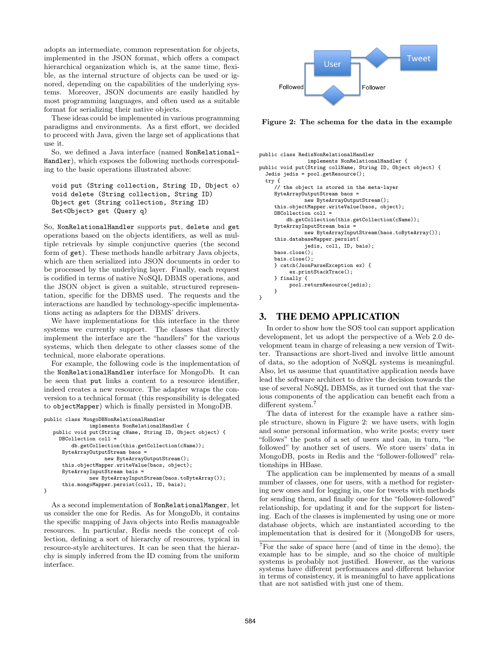adopts an intermediate, common representation for objects, implemented in the JSON format, which offers a compact hierarchical organization which is, at the same time, flexible, as the internal structure of objects can be used or ignored, depending on the capabilities of the underlying systems. Moreover, JSON documents are easily handled by most programming languages, and often used as a suitable format for serializing their native objects.

These ideas could be implemented in various programming paradigms and environments. As a first effort, we decided to proceed with Java, given the large set of applications that use it.

So, we defined a Java interface (named NonRelational-Handler), which exposes the following methods corresponding to the basic operations illustrated above:

void put (String collection, String ID, Object o) void delete (String collection, String ID) Object get (String collection, String ID) Set<Object> get (Query q)

So, NonRelationalHandler supports put, delete and get operations based on the objects identifiers, as well as multiple retrievals by simple conjunctive queries (the second form of get). These methods handle arbitrary Java objects, which are then serialized into JSON documents in order to be processed by the underlying layer. Finally, each request is codified in terms of native NoSQL DBMS operations, and the JSON object is given a suitable, structured representation, specific for the DBMS used. The requests and the interactions are handled by technology-specific implementations acting as adapters for the DBMS' drivers.

We have implementations for this interface in the three systems we currently support. The classes that directly implement the interface are the "handlers" for the various systems, which then delegate to other classes some of the technical, more elaborate operations.

For example, the following code is the implementation of the NonRelationalHandler interface for MongoDb. It can be seen that put links a content to a resource identifier, indeed creates a new resource. The adapter wraps the conversion to a technical format (this responsibility is delegated to objectMapper) which is finally persisted in MongoDB.

```
public class MongoDBNonRelationalHandler
               implements NonRelationalHandler {
   public void put(String cName, String ID, Object object) {
    DBCollection coll =
         db.getCollection(this.getCollection(cName));
     ByteArrayOutputStream baos =
                   new ByteArrayOutputStream();
     this.objectMapper.writeValue(baos, object);
     ByteArrayInputStream bais =
               new ByteArrayInputStream(baos.toByteArray());
     this.mongoMapper.persist(coll, ID, bais);
}
```
As a second implementation of NonRelationalManger, let us consider the one for Redis. As for MongoDb, it contains the specific mapping of Java objects into Redis manageable resources. In particular, Redis needs the concept of collection, defining a sort of hierarchy of resources, typical in resource-style architectures. It can be seen that the hierarchy is simply inferred from the ID coming from the uniform interface.



Figure 2: The schema for the data in the example

```
public class RedisNonRelationalHandler
                implements NonRelationalHandler {
public void put(String collName, String ID, Object object) {
  Jedis jedis = pool.getResource();
  try {
     // the object is stored in the meta-layer
     ByteArrayOutputStream baos =
               new ByteArrayOutputStream();
     this.objectMapper.writeValue(baos, object);
     DBCollection coll =
         db.getCollection(this.getCollection(cName));
     ByteArrayInputStream bais =
               new ByteArrayInputStream(baos.toByteArray());
     this.databaseMapper.persist(
               jedis, coll, ID, bais);
     baos.close();
     bais.close();
     } catch(JsonParseException ex) {
          ex.printStackTrace();
     } finally {
          pool.returnResource(jedis);
     }
}
```
## 3. THE DEMO APPLICATION

In order to show how the SOS tool can support application development, let us adopt the perspective of a Web 2.0 development team in charge of releasing a new version of Twitter. Transactions are short-lived and involve little amount of data, so the adoption of NoSQL systems is meaningful. Also, let us assume that quantitative application needs have lead the software architect to drive the decision towards the use of several NoSQL DBMSs, as it turned out that the various components of the application can benefit each from a different system.<sup>7</sup>

The data of interest for the example have a rather simple structure, shown in Figure 2: we have users, with login and some personal information, who write posts; every user "follows" the posts of a set of users and can, in turn, "be followed" by another set of users. We store users' data in MongoDB, posts in Redis and the "follower-followed" relationships in HBase.

The application can be implemented by means of a small number of classes, one for users, with a method for registering new ones and for logging in, one for tweets with methods for sending them, and finally one for the "follower-followed" relationship, for updating it and for the support for listening. Each of the classes is implemented by using one or more database objects, which are instantiated according to the implementation that is desired for it (MongoDB for users,

<sup>7</sup>For the sake of space here (and of time in the demo), the example has to be simple, and so the choice of multiple systems is probably not justified. However, as the various systems have different performances and different behavior in terms of consistency, it is meaningful to have applications that are not satisfied with just one of them.